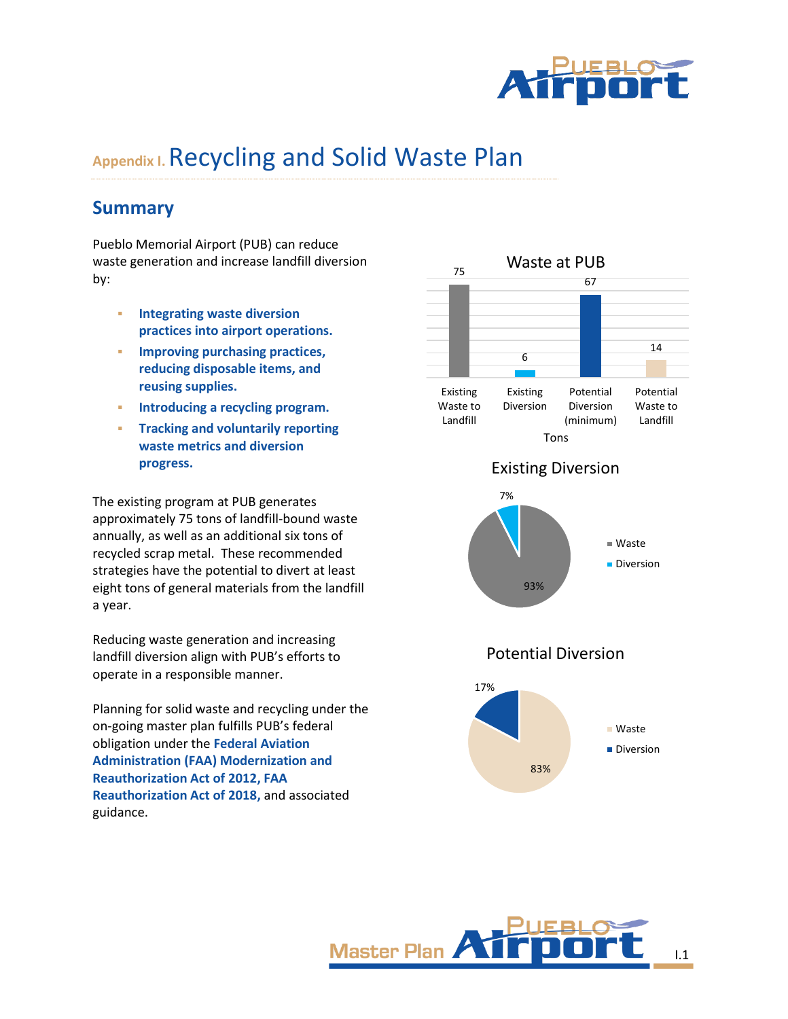

# **Appendix I.**Recycling and Solid Waste Plan

## **Summary**

Pueblo Memorial Airport (PUB) can reduce waste generation and increase landfill diversion by:

- **Integrating waste diversion practices into airport operations.**
- **Improving purchasing practices, reducing disposable items, and reusing supplies.**
- **Introducing a recycling program.**
- **Tracking and voluntarily reporting waste metrics and diversion progress.**

The existing program at PUB generates approximately 75 tons of landfill-bound waste annually, as well as an additional six tons of recycled scrap metal. These recommended strategies have the potential to divert at least eight tons of general materials from the landfill a year.

Reducing waste generation and increasing landfill diversion align with PUB's efforts to operate in a responsible manner.

Planning for solid waste and recycling under the on-going master plan fulfills PUB's federal obligation under the **Federal Aviation Administration (FAA) Modernization and Reauthorization Act of 2012, FAA Reauthorization Act of 2018,** and associated guidance.







## Potential Diversion



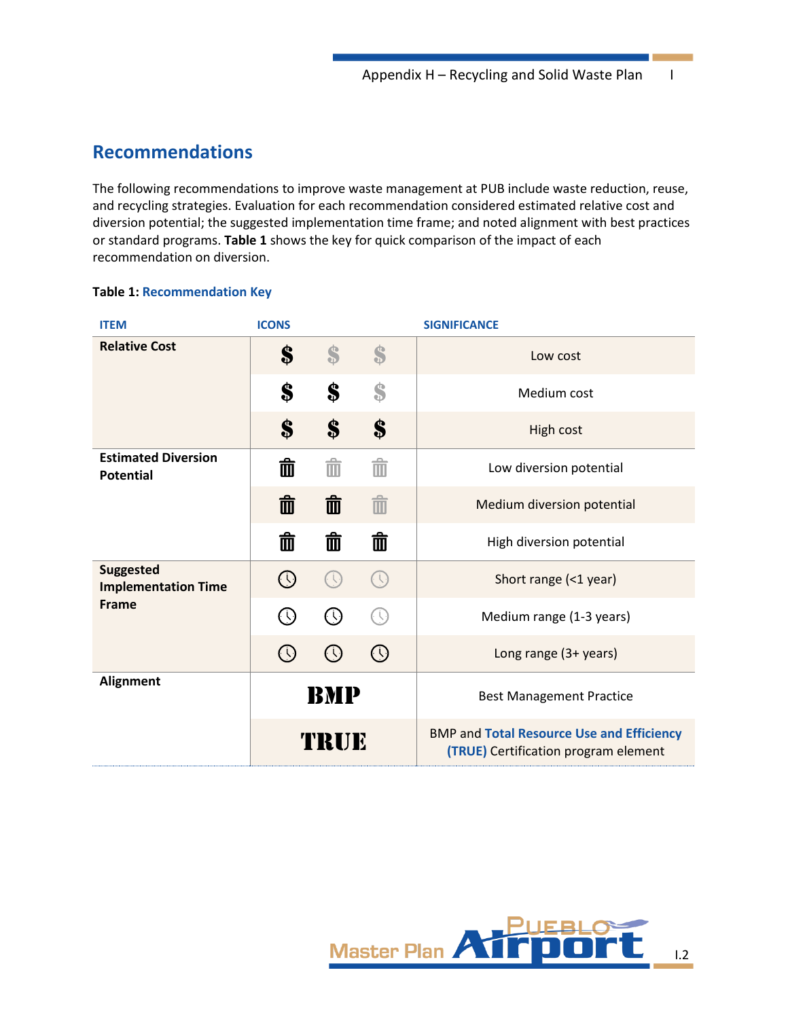## **Recommendations**

The following recommendations to improve waste management at PUB include waste reduction, reuse, and recycling strategies. Evaluation for each recommendation considered estimated relative cost and diversion potential; the suggested implementation time frame; and noted alignment with best practices or standard programs. **[Table 1](#page-1-0)** shows the key for quick comparison of the impact of each recommendation on diversion.

### <span id="page-1-0"></span>**Table 1: Recommendation Key**

| <b>ITEM</b>                                    | <b>ICONS</b>                |                                      |                            | <b>SIGNIFICANCE</b>                                                                             |  |  |  |  |  |
|------------------------------------------------|-----------------------------|--------------------------------------|----------------------------|-------------------------------------------------------------------------------------------------|--|--|--|--|--|
| <b>Relative Cost</b>                           | S                           | S                                    | S                          | Low cost                                                                                        |  |  |  |  |  |
|                                                | S                           | S                                    | Ŝ                          | Medium cost                                                                                     |  |  |  |  |  |
|                                                | \$                          | \$                                   | \$                         | High cost                                                                                       |  |  |  |  |  |
| <b>Estimated Diversion</b><br><b>Potential</b> | ० क                         | 而                                    | Ŵ                          | Low diversion potential                                                                         |  |  |  |  |  |
|                                                | 面                           | 而                                    | $\hat{m}$                  | Medium diversion potential                                                                      |  |  |  |  |  |
|                                                | 面                           | 面                                    | 面                          | High diversion potential                                                                        |  |  |  |  |  |
| <b>Suggested</b><br><b>Implementation Time</b> | $\bigodot$                  |                                      | $\bigcap$                  | Short range (<1 year)                                                                           |  |  |  |  |  |
| <b>Frame</b>                                   | $\left(\mathfrak{t}\right)$ | $\left(\bigcup_{i=1}^{n} a_i\right)$ |                            | Medium range (1-3 years)                                                                        |  |  |  |  |  |
|                                                | $\left(\frac{1}{2}\right)$  |                                      | $\left(\frac{1}{2}\right)$ | Long range (3+ years)                                                                           |  |  |  |  |  |
| <b>Alignment</b>                               |                             | BMP                                  |                            | <b>Best Management Practice</b>                                                                 |  |  |  |  |  |
|                                                |                             | TRUE                                 |                            | <b>BMP and Total Resource Use and Efficiency</b><br><b>(TRUE)</b> Certification program element |  |  |  |  |  |

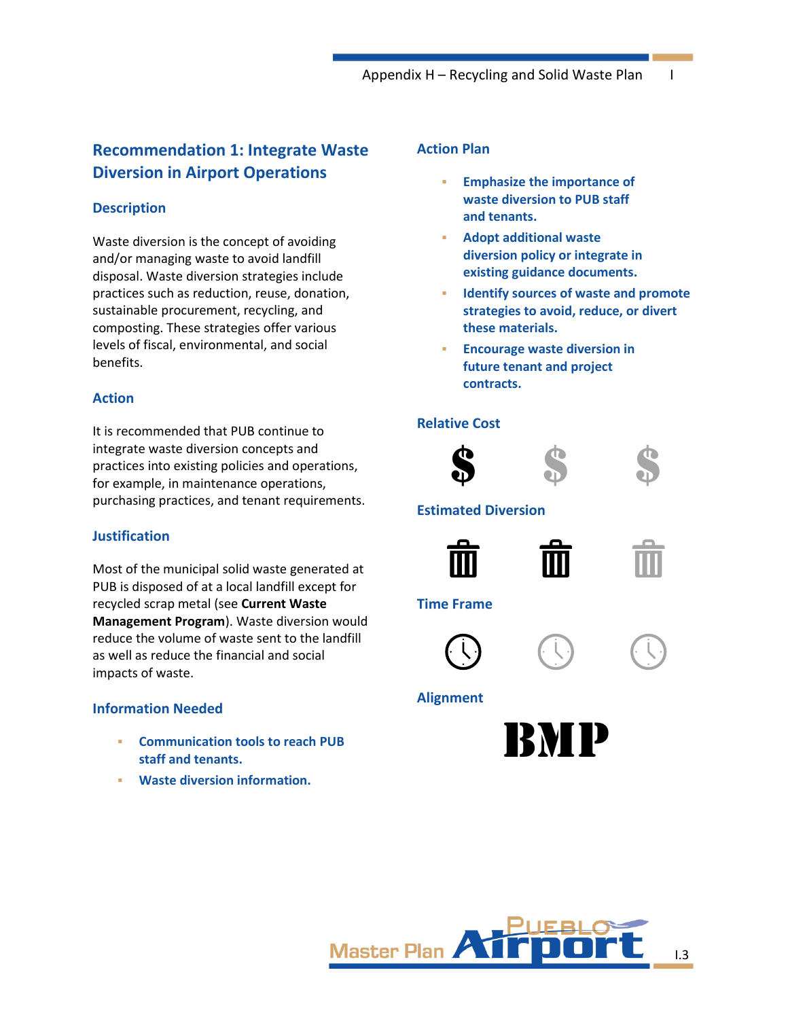## **Recommendation 1: Integrate Waste Diversion in Airport Operations**

## **Description**

Waste diversion is the concept of avoiding and/or managing waste to avoid landfill disposal. Waste diversion strategies include practices such as reduction, reuse, donation, sustainable procurement, recycling, and composting. These strategies offer various levels of fiscal, environmental, and social benefits.

### **Action**

It is recommended that PUB continue to integrate waste diversion concepts and practices into existing policies and operations, for example, in maintenance operations, purchasing practices, and tenant requirements.

## **Justification**

Most of the municipal solid waste generated at PUB is disposed of at a local landfill except for recycled scrap metal (see **Current Waste Management Program**). Waste diversion would reduce the volume of waste sent to the landfill as well as reduce the financial and social impacts of waste.

## **Information Needed**

- **Communication tools to reach PUB staff and tenants.**
- **Waste diversion information.**

## **Action Plan**

- **Emphasize the importance of waste diversion to PUB staff and tenants.**
- **Adopt additional waste diversion policy or integrate in existing guidance documents.**
- **Identify sources of waste and promote strategies to avoid, reduce, or divert these materials.**
- **Encourage waste diversion in future tenant and project contracts.**

## **Relative Cost**





## **Estimated Diversion**





**Time Frame**





## **Alignment**



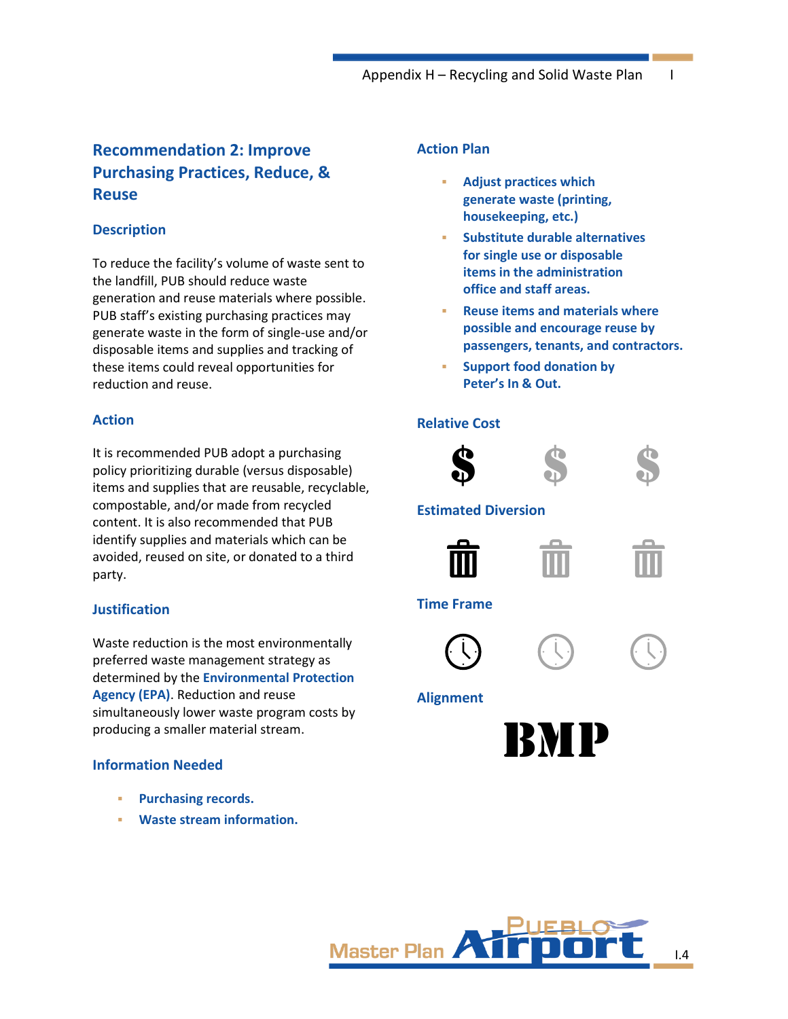## **Recommendation 2: Improve Purchasing Practices, Reduce, & Reuse**

## **Description**

To reduce the facility's volume of waste sent to the landfill, PUB should reduce waste generation and reuse materials where possible. PUB staff's existing purchasing practices may generate waste in the form of single-use and/or disposable items and supplies and tracking of these items could reveal opportunities for reduction and reuse.

### **Action**

It is recommended PUB adopt a purchasing policy prioritizing durable (versus disposable) items and supplies that are reusable, recyclable, compostable, and/or made from recycled content. It is also recommended that PUB identify supplies and materials which can be avoided, reused on site, or donated to a third party.

### **Justification**

Waste reduction is the most environmentally preferred waste management strategy as determined by the **Environmental Protection Agency (EPA)**. Reduction and reuse simultaneously lower waste program costs by producing a smaller material stream.

### **Information Needed**

- **Purchasing records.**
- **Waste stream information.**

## **Action Plan**

- **Adjust practices which generate waste (printing, housekeeping, etc.)**
- **Substitute durable alternatives for single use or disposable items in the administration office and staff areas.**
- **Reuse items and materials where possible and encourage reuse by passengers, tenants, and contractors.**
- **Support food donation by Peter's In & Out.**

### **Relative Cost**



### **Estimated Diversion**





### **Time Frame**





## **Alignment**



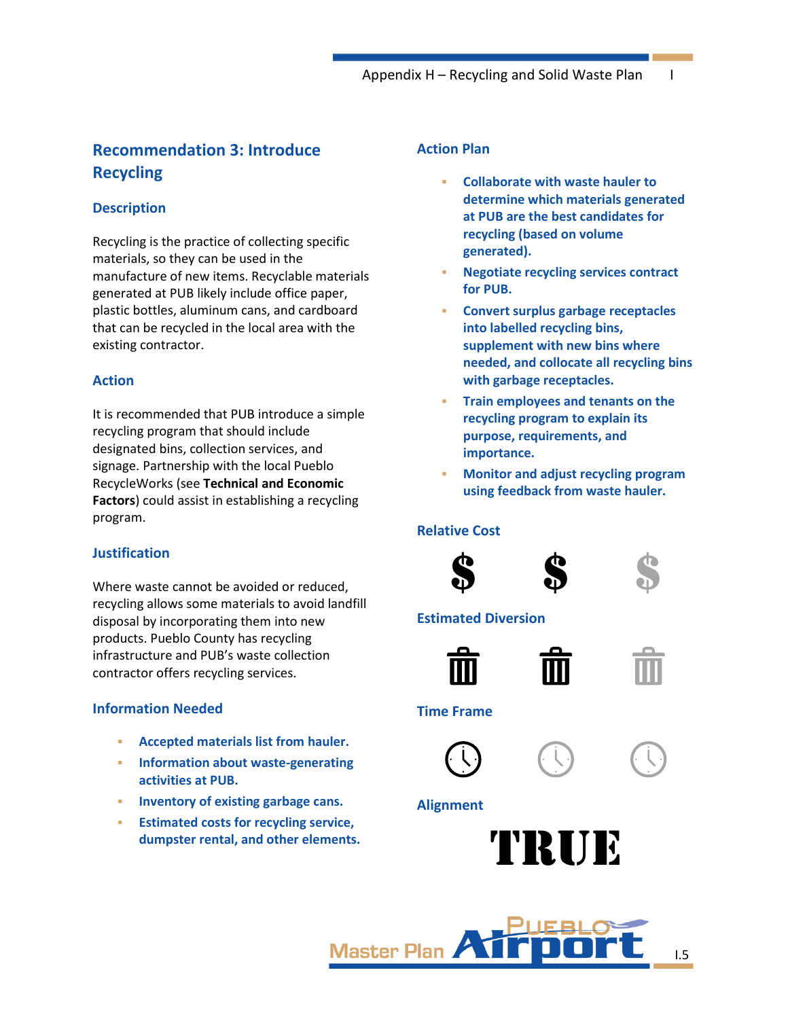## **Recommendation 3: Introduce Recycling**

## **Description**

Recycling is the practice of collecting specific materials, so they can be used in the manufacture of new items. Recyclable materials generated at PUB likely include office paper, plastic bottles, aluminum cans, and cardboard that can be recycled in the local area with the existing contractor.

#### **Action**

It is recommended that PUB introduce a simple recycling program that should include designated bins, collection services, and signage. Partnership with the local Pueblo RecycleWorks (see **[Technical and](#page-15-0) Economic [Factors](#page-15-0)**) could assist in establishing a recycling program.

## **Justification**

Where waste cannot be avoided or reduced, recycling allows some materials to avoid landfill disposal by incorporating them into new products. Pueblo County has recycling infrastructure and PUB's waste collection contractor offers recycling services.

## **Information Needed**

- **Accepted materials list from hauler.**
- **Information about waste-generating activities at PUB.**
- **Inventory of existing garbage cans.**
- **Estimated costs for recycling service, dumpster rental, and other elements.**

## **Action Plan**

- **Collaborate with waste hauler to determine which materials generated at PUB are the best candidates for recycling (based on volume generated).**
- **Negotiate recycling services contract for PUB.**
- **Convert surplus garbage receptacles into labelled recycling bins, supplement with new bins where needed, and collocate all recycling bins with garbage receptacles.**
- **Train employees and tenants on the recycling program to explain its purpose, requirements, and importance.**
- **Monitor and adjust recycling program using feedback from waste hauler.**

#### **Relative Cost**





#### **Estimated Diversion**



## **Time Frame**





#### **Alignment**





I.5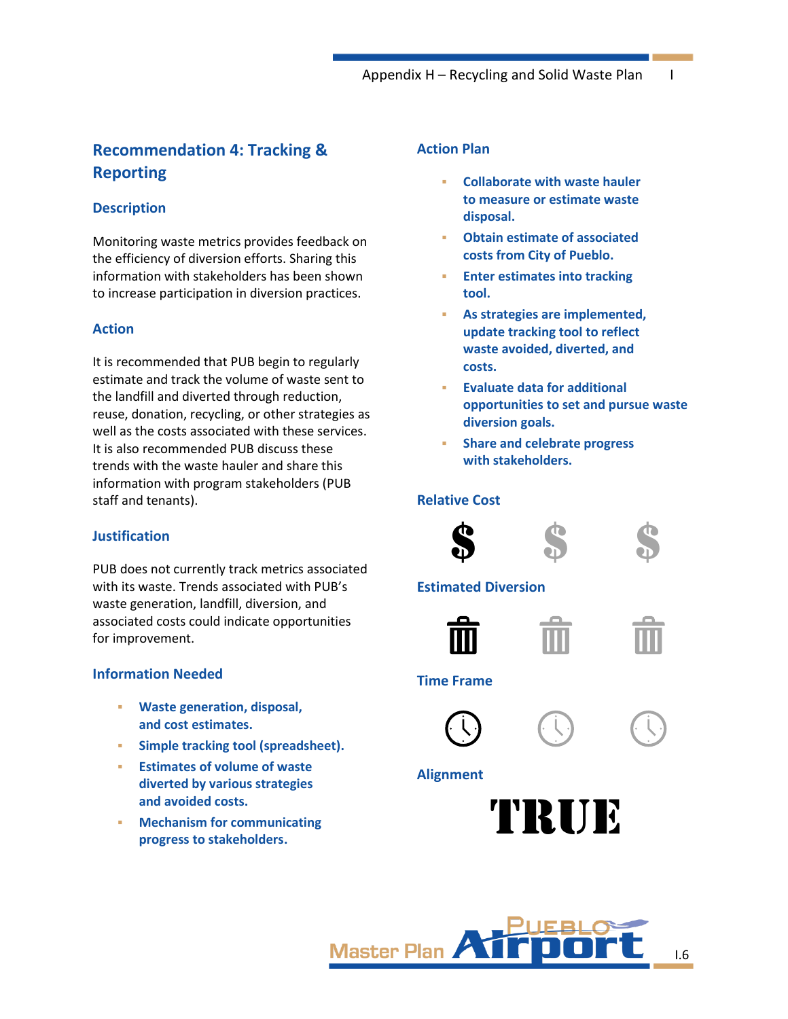## **Recommendation 4: Tracking & Reporting**

## **Description**

Monitoring waste metrics provides feedback on the efficiency of diversion efforts. Sharing this information with stakeholders has been shown to increase participation in diversion practices.

## **Action**

It is recommended that PUB begin to regularly estimate and track the volume of waste sent to the landfill and diverted through reduction, reuse, donation, recycling, or other strategies as well as the costs associated with these services. It is also recommended PUB discuss these trends with the waste hauler and share this information with program stakeholders (PUB staff and tenants).

## **Justification**

PUB does not currently track metrics associated with its waste. Trends associated with PUB's waste generation, landfill, diversion, and associated costs could indicate opportunities for improvement.

## **Information Needed**

- **Waste generation, disposal, and cost estimates.**
- **Simple tracking tool (spreadsheet).**
- **Estimates of volume of waste diverted by various strategies and avoided costs.**
- **Mechanism for communicating progress to stakeholders.**

## **Action Plan**

- **Collaborate with waste hauler to measure or estimate waste disposal.**
- **Obtain estimate of associated costs from City of Pueblo.**
- **Enter estimates into tracking tool.**
- As strategies are implemented, **update tracking tool to reflect waste avoided, diverted, and costs.**
- **Evaluate data for additional opportunities to set and pursue waste diversion goals.**
- **Share and celebrate progress with stakeholders.**

## **Relative Cost**



## **Estimated Diversion**



### **Time Frame**



## **Alignment**



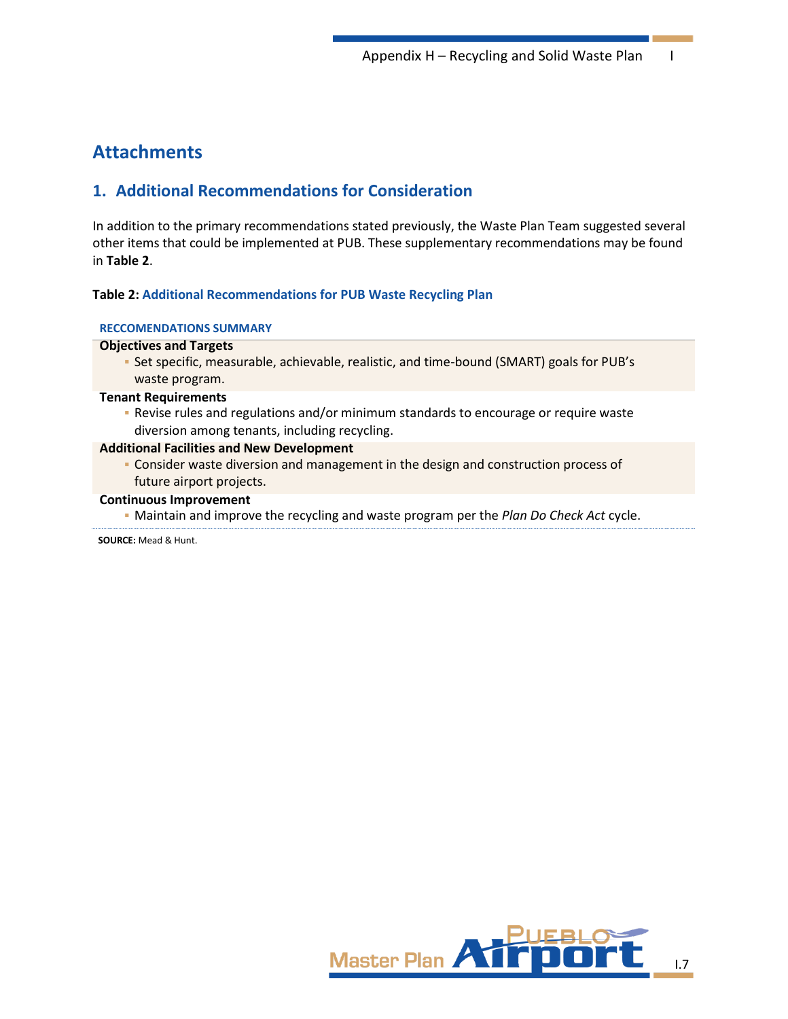## **Attachments**

## **1. Additional Recommendations for Consideration**

In addition to the primary recommendations stated previously, the Waste Plan Team suggested several other items that could be implemented at PUB. These supplementary recommendations may be found in **[Table 2](#page-6-0)**.

#### <span id="page-6-0"></span>**Table 2: Additional Recommendations for PUB Waste Recycling Plan**

#### **RECCOMENDATIONS SUMMARY**

#### **Objectives and Targets**

▪ Set specific, measurable, achievable, realistic, and time-bound (SMART) goals for PUB's waste program.

#### **Tenant Requirements**

▪ Revise rules and regulations and/or minimum standards to encourage or require waste diversion among tenants, including recycling.

#### **Additional Facilities and New Development**

▪ Consider waste diversion and management in the design and construction process of future airport projects.

#### **Continuous Improvement**

▪ Maintain and improve the recycling and waste program per the *Plan Do Check Act* cycle.

**SOURCE:** Mead & Hunt.

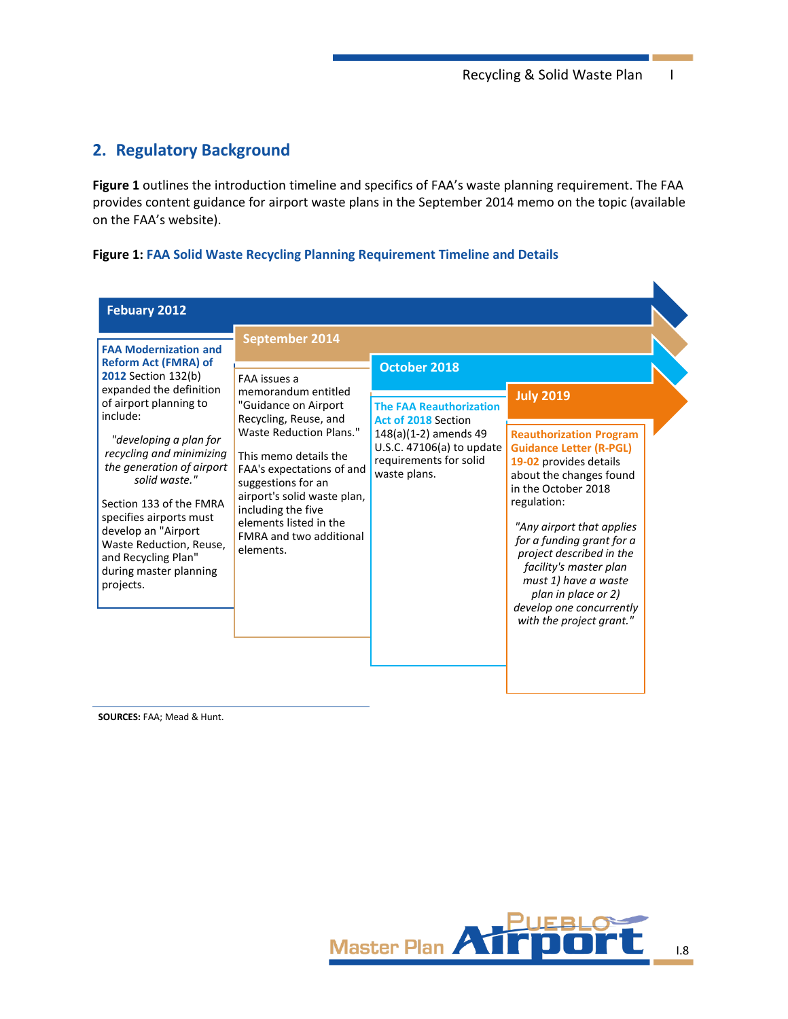$\blacksquare$ 

## <span id="page-7-1"></span>**2. Regulatory Background**

**[Figure 1](#page-7-0)** outlines the introduction timeline and specifics of FAA's waste planning requirement. The FAA provides content guidance for airport waste plans in the September 2014 memo on the topic (available on the FAA's website).

#### <span id="page-7-0"></span>**Figure 1: FAA Solid Waste Recycling Planning Requirement Timeline and Details**

| Febuary 2012                                                                                                                                                                                                                                                                                                                                                                                                                         | September 2014                                                                                                                                                                                                                                                                                                                   |                                                                                                                                                                              |                                                                                                                                                                                                                                                                                                                                                                                                        |
|--------------------------------------------------------------------------------------------------------------------------------------------------------------------------------------------------------------------------------------------------------------------------------------------------------------------------------------------------------------------------------------------------------------------------------------|----------------------------------------------------------------------------------------------------------------------------------------------------------------------------------------------------------------------------------------------------------------------------------------------------------------------------------|------------------------------------------------------------------------------------------------------------------------------------------------------------------------------|--------------------------------------------------------------------------------------------------------------------------------------------------------------------------------------------------------------------------------------------------------------------------------------------------------------------------------------------------------------------------------------------------------|
| <b>FAA Modernization and</b><br><b>Reform Act (FMRA) of</b><br><b>2012</b> Section 132(b)<br>expanded the definition<br>of airport planning to<br>include:<br>"developing a plan for<br>recycling and minimizing<br>the generation of airport<br>solid waste."<br>Section 133 of the FMRA<br>specifies airports must<br>develop an "Airport<br>Waste Reduction, Reuse,<br>and Recycling Plan"<br>during master planning<br>projects. | <b>FAA</b> issues a<br>memorandum entitled<br>"Guidance on Airport<br>Recycling, Reuse, and<br>Waste Reduction Plans."<br>This memo details the<br>FAA's expectations of and<br>suggestions for an<br>airport's solid waste plan,<br>including the five<br>elements listed in the<br><b>FMRA and two additional</b><br>elements. | October 2018<br><b>The FAA Reauthorization</b><br><b>Act of 2018 Section</b><br>148(a)(1-2) amends 49<br>U.S.C. 47106(a) to update<br>requirements for solid<br>waste plans. | <b>July 2019</b><br><b>Reauthorization Program</b><br><b>Guidance Letter (R-PGL)</b><br>19-02 provides details<br>about the changes found<br>in the October 2018<br>regulation:<br>"Any airport that applies<br>for a funding grant for a<br>project described in the<br>facility's master plan<br>must 1) have a waste<br>plan in place or 2)<br>develop one concurrently<br>with the project grant." |

**SOURCES:** FAA; Mead & Hunt.

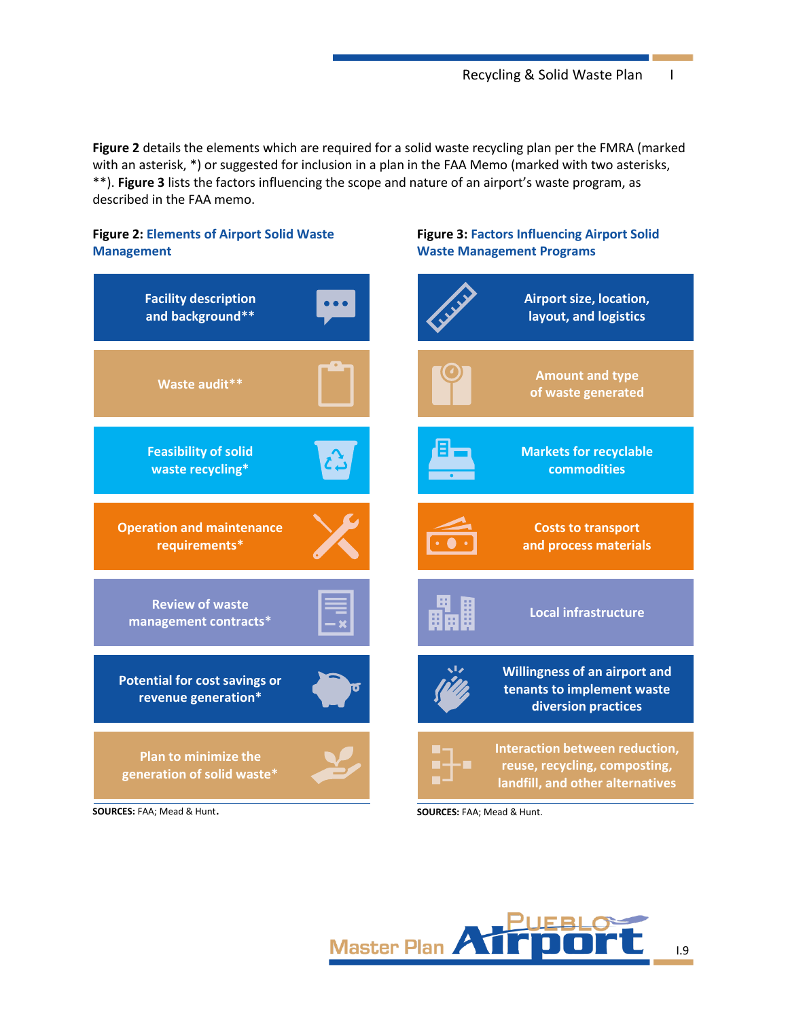**[Figure 2](#page-8-0)** details the elements which are required for a solid waste recycling plan per the FMRA (marked with an asterisk, \*) or suggested for inclusion in a plan in the FAA Memo (marked with two asterisks, \*\*). **[Figure 3](#page-8-1)** lists the factors influencing the scope and nature of an airport's waste program, as described in the FAA memo.

## <span id="page-8-1"></span><span id="page-8-0"></span>**Figure 2: Elements of Airport Solid Waste Figure 3: Factors Influencing Airport Solid Management Waste Management Programs Facility description Airport size, location, and background\*\* layout, and logistics Amount and type Waste audit\*\* of waste generated Feasibility of solid Markets for recyclable waste recycling\* commodities Operation and maintenance Costs to transport requirements\* and process materials Review of waste Local infrastructure management contracts\* Willingness of an airport and Potential for cost savings or tenants to implement waste revenue generation\* diversion practices Interaction between reduction, Plan to minimize the** ■ **reuse, recycling, composting, generation of solid waste\* landfill, and other alternatives**

**SOURCES:** FAA; Mead & Hunt.

**SOURCES:** FAA; Mead & Hunt.



I.9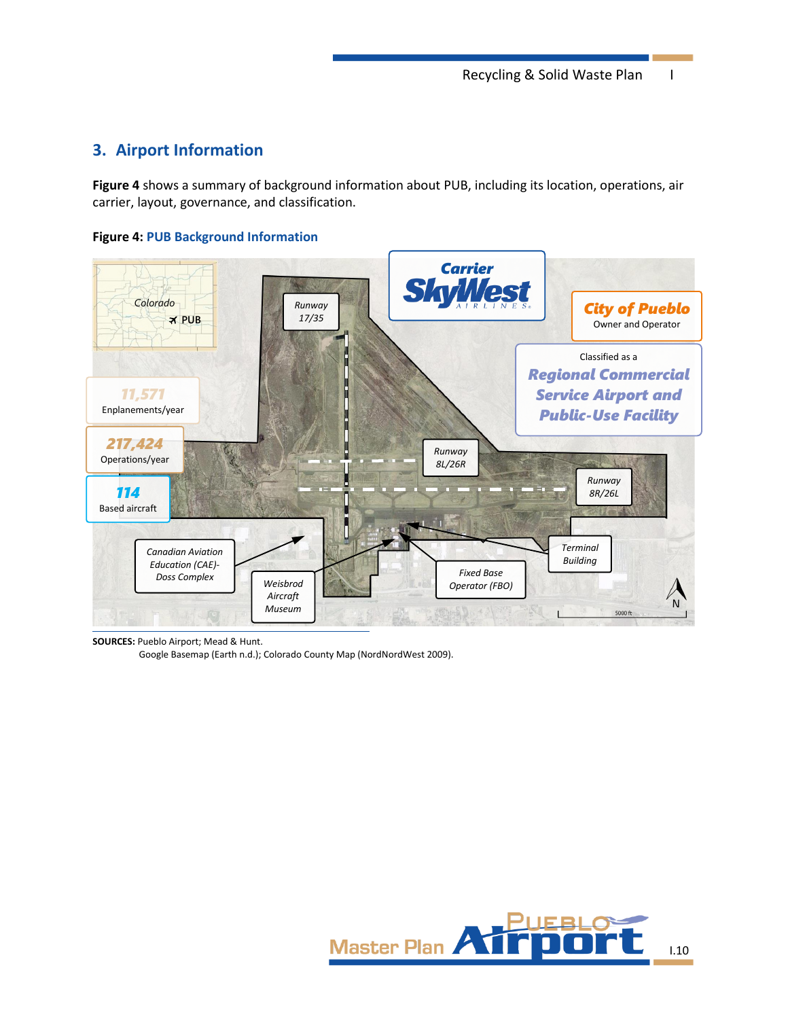## **3. Airport Information**

**Figure 4** shows a summary of background information about PUB, including its location, operations, air carrier, layout, governance, and classification.

## **Figure 4: PUB Background Information**



**SOURCES:** Pueblo Airport; Mead & Hunt.

Google Basemap (Earth n.d.); Colorado County Map (NordNordWest 2009).

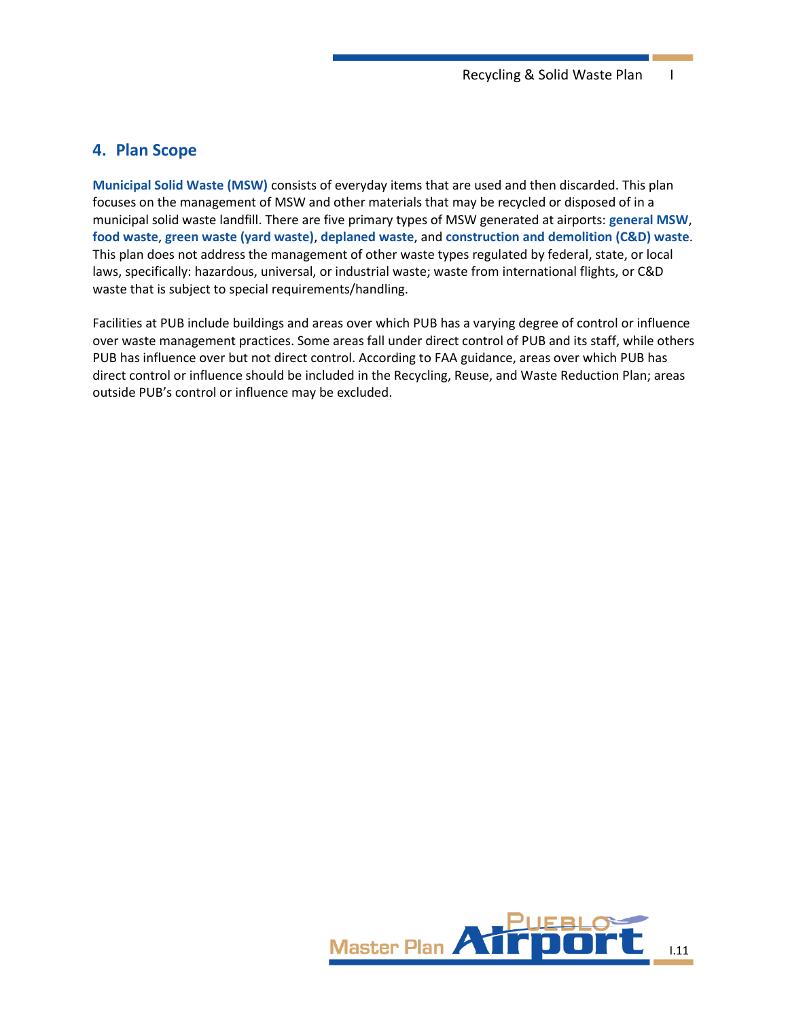## **4. Plan Scope**

**Municipal Solid Waste (MSW)** consists of everyday items that are used and then discarded. This plan focuses on the management of MSW and other materials that may be recycled or disposed of in a municipal solid waste landfill. There are five primary types of MSW generated at airports: **general MSW**, **food waste**, **green waste (yard waste)**, **deplaned waste**, and **construction and demolition (C&D) waste**. This plan does not address the management of other waste types regulated by federal, state, or local laws, specifically: hazardous, universal, or industrial waste; waste from international flights, or C&D waste that is subject to special requirements/handling.

Facilities at PUB include buildings and areas over which PUB has a varying degree of control or influence over waste management practices. Some areas fall under direct control of PUB and its staff, while others PUB has influence over but not direct control. According to FAA guidance, areas over which PUB has direct control or influence should be included in the Recycling, Reuse, and Waste Reduction Plan; areas outside PUB's control or influence may be excluded.

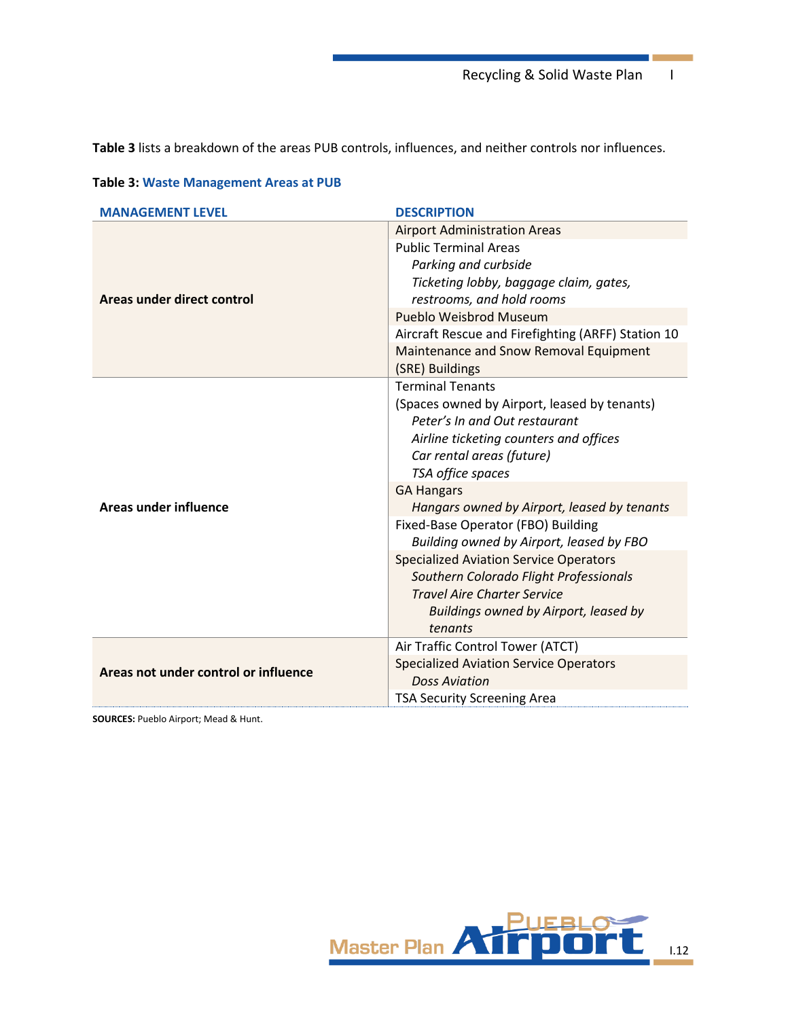Recycling & Solid Waste Plan I

**[Table](#page-11-0) 3** lists a breakdown of the areas PUB controls, influences, and neither controls nor influences.

| <b>MANAGEMENT LEVEL</b>              | <b>DESCRIPTION</b>                                                  |  |  |  |  |  |  |
|--------------------------------------|---------------------------------------------------------------------|--|--|--|--|--|--|
|                                      | <b>Airport Administration Areas</b>                                 |  |  |  |  |  |  |
|                                      | <b>Public Terminal Areas</b>                                        |  |  |  |  |  |  |
|                                      | Parking and curbside                                                |  |  |  |  |  |  |
| Areas under direct control           | Ticketing lobby, baggage claim, gates,<br>restrooms, and hold rooms |  |  |  |  |  |  |
|                                      | Pueblo Weisbrod Museum                                              |  |  |  |  |  |  |
|                                      | Aircraft Rescue and Firefighting (ARFF) Station 10                  |  |  |  |  |  |  |
|                                      | Maintenance and Snow Removal Equipment                              |  |  |  |  |  |  |
|                                      | (SRE) Buildings                                                     |  |  |  |  |  |  |
|                                      | <b>Terminal Tenants</b>                                             |  |  |  |  |  |  |
|                                      | (Spaces owned by Airport, leased by tenants)                        |  |  |  |  |  |  |
|                                      | Peter's In and Out restaurant                                       |  |  |  |  |  |  |
|                                      | Airline ticketing counters and offices                              |  |  |  |  |  |  |
|                                      | Car rental areas (future)<br>TSA office spaces                      |  |  |  |  |  |  |
|                                      |                                                                     |  |  |  |  |  |  |
|                                      | <b>GA Hangars</b>                                                   |  |  |  |  |  |  |
| <b>Areas under influence</b>         | Hangars owned by Airport, leased by tenants                         |  |  |  |  |  |  |
|                                      | Fixed-Base Operator (FBO) Building                                  |  |  |  |  |  |  |
|                                      | Building owned by Airport, leased by FBO                            |  |  |  |  |  |  |
|                                      | <b>Specialized Aviation Service Operators</b>                       |  |  |  |  |  |  |
|                                      | Southern Colorado Flight Professionals                              |  |  |  |  |  |  |
|                                      | <b>Travel Aire Charter Service</b>                                  |  |  |  |  |  |  |
|                                      | Buildings owned by Airport, leased by                               |  |  |  |  |  |  |
|                                      | tenants                                                             |  |  |  |  |  |  |
|                                      | Air Traffic Control Tower (ATCT)                                    |  |  |  |  |  |  |
| Areas not under control or influence | <b>Specialized Aviation Service Operators</b>                       |  |  |  |  |  |  |
|                                      | <b>Doss Aviation</b>                                                |  |  |  |  |  |  |
|                                      | <b>TSA Security Screening Area</b>                                  |  |  |  |  |  |  |

## <span id="page-11-0"></span>**Table 3: Waste Management Areas at PUB**

**SOURCES:** Pueblo Airport; Mead & Hunt.

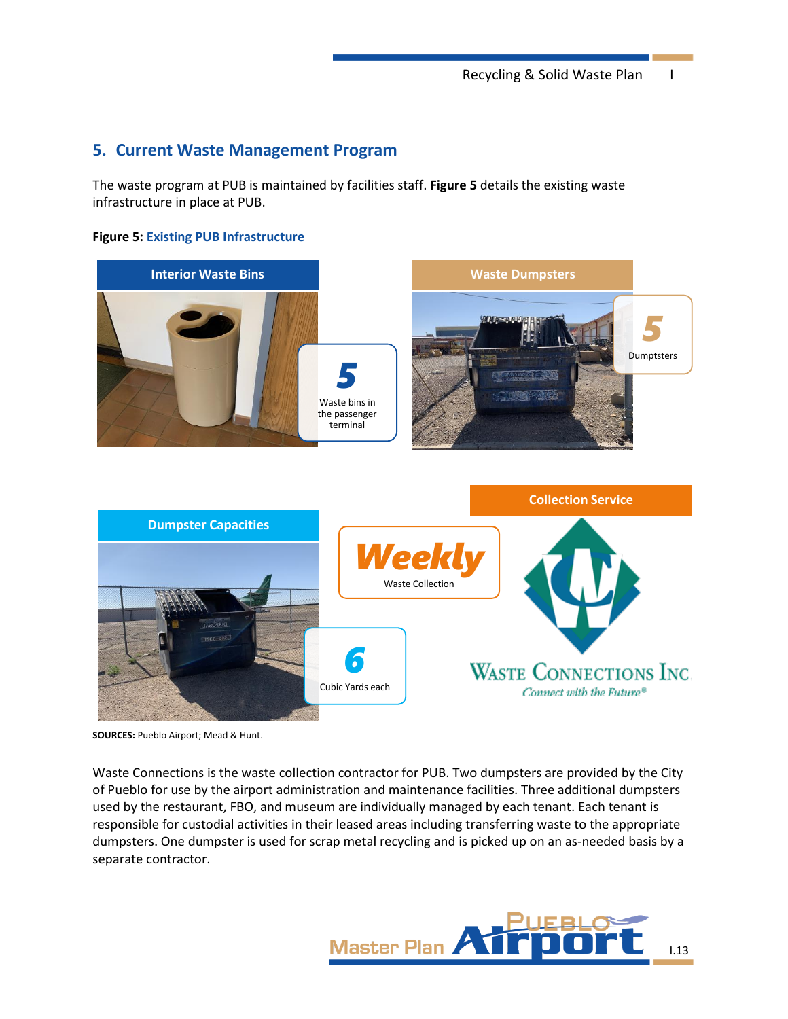## **5. Current Waste Management Program**

The waste program at PUB is maintained by facilities staff. **[Figure 5](#page-12-0)** details the existing waste infrastructure in place at PUB.

### <span id="page-12-0"></span>**Figure 5: Existing PUB Infrastructure**





**SOURCES:** Pueblo Airport; Mead & Hunt.

Waste Connections is the waste collection contractor for PUB. Two dumpsters are provided by the City of Pueblo for use by the airport administration and maintenance facilities. Three additional dumpsters used by the restaurant, FBO, and museum are individually managed by each tenant. Each tenant is responsible for custodial activities in their leased areas including transferring waste to the appropriate dumpsters. One dumpster is used for scrap metal recycling and is picked up on an as-needed basis by a separate contractor.

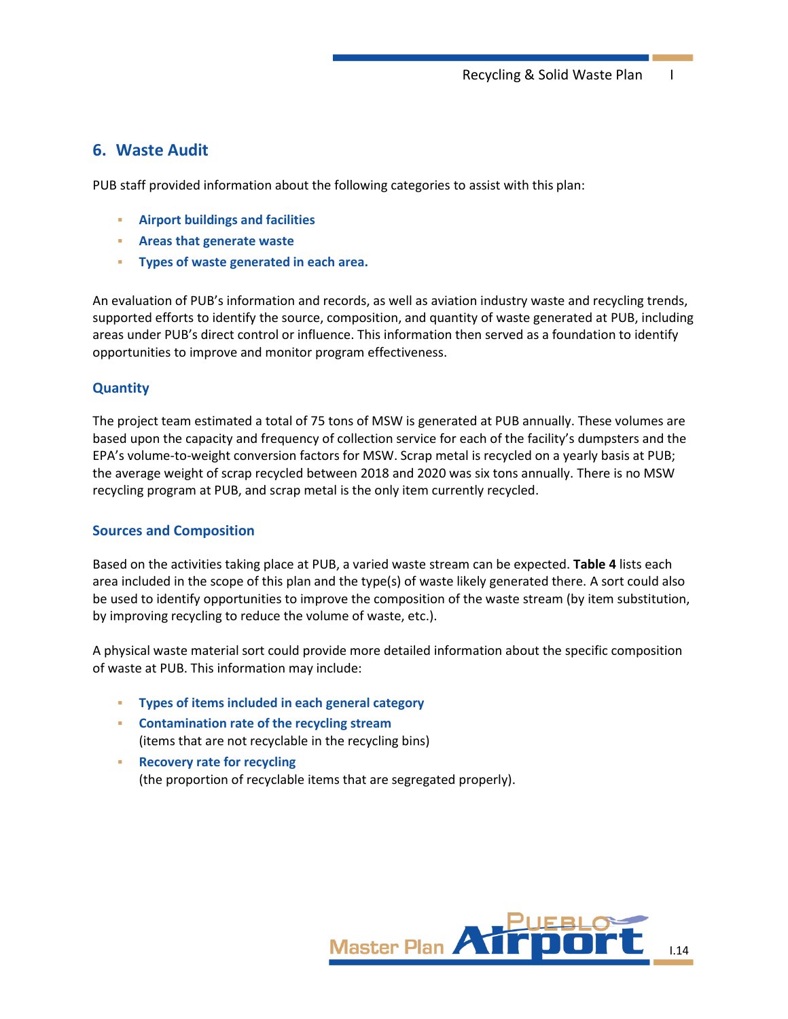## **6. Waste Audit**

PUB staff provided information about the following categories to assist with this plan:

- **Airport buildings and facilities**
- **Areas that generate waste**
- **Types of waste generated in each area.**

An evaluation of PUB's information and records, as well as aviation industry waste and recycling trends, supported efforts to identify the source, composition, and quantity of waste generated at PUB, including areas under PUB's direct control or influence. This information then served as a foundation to identify opportunities to improve and monitor program effectiveness.

## **Quantity**

The project team estimated a total of 75 tons of MSW is generated at PUB annually. These volumes are based upon the capacity and frequency of collection service for each of the facility's dumpsters and the EPA's volume-to-weight conversion factors for MSW. Scrap metal is recycled on a yearly basis at PUB; the average weight of scrap recycled between 2018 and 2020 was six tons annually. There is no MSW recycling program at PUB, and scrap metal is the only item currently recycled.

### **Sources and Composition**

Based on the activities taking place at PUB, a varied waste stream can be expected. **[Table 4](#page-14-0)** lists each area included in the scope of this plan and the type(s) of waste likely generated there. A sort could also be used to identify opportunities to improve the composition of the waste stream (by item substitution, by improving recycling to reduce the volume of waste, etc.).

A physical waste material sort could provide more detailed information about the specific composition of waste at PUB. This information may include:

- **Types of items included in each general category**
- **Contamination rate of the recycling stream**  (items that are not recyclable in the recycling bins)
- **Recovery rate for recycling**  (the proportion of recyclable items that are segregated properly).

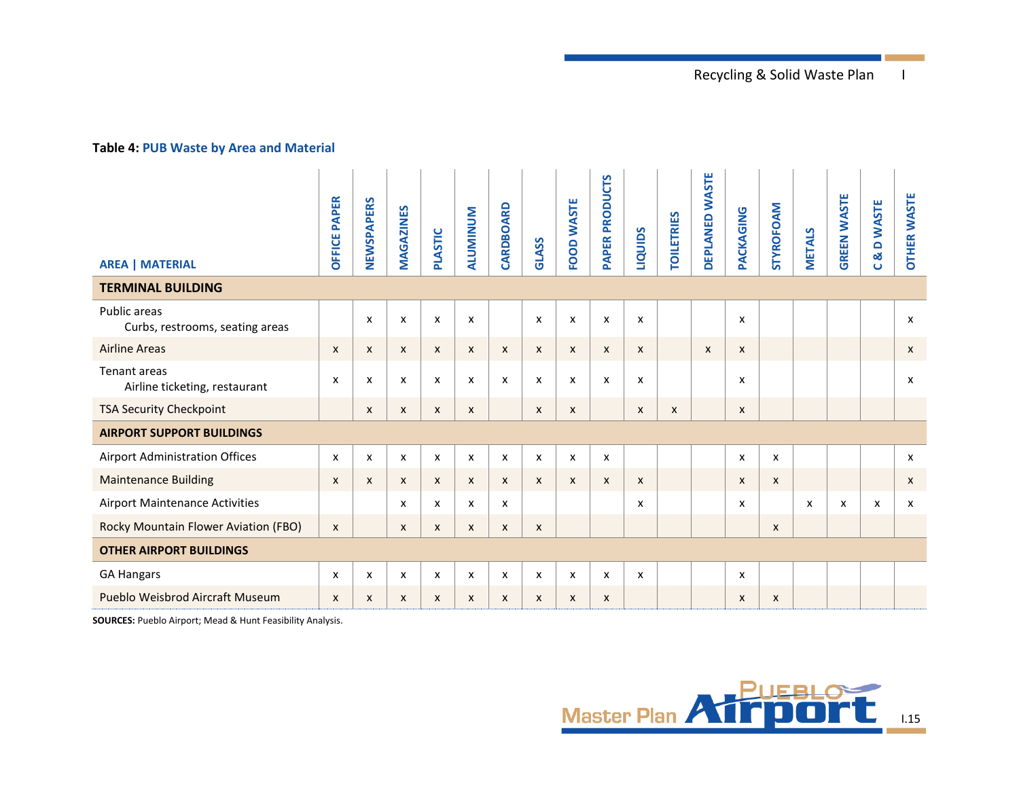## **Table 4: PUB Waste by Area and Material**

<span id="page-14-0"></span>

| <b>AREA   MATERIAL</b>                          | <b>PAPER</b><br><b>DFFICE</b> | NEWSPAPERS                | MAGAZINES                 | PLASTIC                   | <b>ALUMINUM</b> | CARDBOARD | GLASS          | FOOD WASTE         | <b>PAPER PRODUCTS</b>     | <b>LIQUIDS</b>            | <b>TOILETRIES</b> | <b>WASTE</b><br>DEPLANED | PACKAGING    | <b>STYROFOAM</b>          | <b>METALS</b> | <b>GREEN WASTE</b> | <b>DWASTE</b><br>œ<br>$\cup$ | <b>OTHER WASTE</b> |
|-------------------------------------------------|-------------------------------|---------------------------|---------------------------|---------------------------|-----------------|-----------|----------------|--------------------|---------------------------|---------------------------|-------------------|--------------------------|--------------|---------------------------|---------------|--------------------|------------------------------|--------------------|
| <b>TERMINAL BUILDING</b>                        |                               |                           |                           |                           |                 |           |                |                    |                           |                           |                   |                          |              |                           |               |                    |                              |                    |
| Public areas<br>Curbs, restrooms, seating areas |                               | $\boldsymbol{\mathsf{x}}$ | $\boldsymbol{\mathsf{x}}$ | X                         | X               |           | x              | X                  | X                         | $\boldsymbol{\mathsf{x}}$ |                   |                          | X            |                           |               |                    |                              | x                  |
| <b>Airline Areas</b>                            | $\boldsymbol{\mathsf{x}}$     | $\boldsymbol{\mathsf{x}}$ | $\boldsymbol{\mathsf{x}}$ | $\boldsymbol{\mathsf{x}}$ | X               | X         | X              | $\pmb{\mathsf{X}}$ | $\boldsymbol{\mathsf{x}}$ | X                         |                   | X                        | $\pmb{\chi}$ |                           |               |                    |                              | X                  |
| Tenant areas<br>Airline ticketing, restaurant   | X                             | X                         | x                         | x                         | x               | x         | x              | x                  | X                         | x                         |                   |                          | x            |                           |               |                    |                              | x                  |
| <b>TSA Security Checkpoint</b>                  |                               | $\boldsymbol{\mathsf{x}}$ | X                         | X                         | X               |           | X              | $\mathsf{x}$       |                           | X                         | X                 |                          | X            |                           |               |                    |                              |                    |
| <b>AIRPORT SUPPORT BUILDINGS</b>                |                               |                           |                           |                           |                 |           |                |                    |                           |                           |                   |                          |              |                           |               |                    |                              |                    |
| Airport Administration Offices                  | X                             | X                         | x                         | x                         | x               | x         | x              | x                  | X                         |                           |                   |                          | x            | $\pmb{\chi}$              |               |                    |                              | x                  |
| <b>Maintenance Building</b>                     | $\boldsymbol{\mathsf{x}}$     | $\boldsymbol{\mathsf{x}}$ | $\boldsymbol{\mathsf{x}}$ | X                         | X               | X         | X              | $\mathsf{x}$       | $\boldsymbol{\mathsf{x}}$ | X                         |                   |                          | X            | $\boldsymbol{\mathsf{x}}$ |               |                    |                              | X                  |
| <b>Airport Maintenance Activities</b>           |                               |                           | x                         | X                         | x               | x         |                |                    |                           | x                         |                   |                          | x            |                           | x             | x                  | X                            | x                  |
| Rocky Mountain Flower Aviation (FBO)            | $\mathsf{x}$                  |                           | X                         | X                         | X               | X         | $\pmb{\times}$ |                    |                           |                           |                   |                          |              | X                         |               |                    |                              |                    |
| <b>OTHER AIRPORT BUILDINGS</b>                  |                               |                           |                           |                           |                 |           |                |                    |                           |                           |                   |                          |              |                           |               |                    |                              |                    |
| <b>GA Hangars</b>                               | X                             | X                         | x                         | x                         | x               | x         | x              | x                  | x                         | X                         |                   |                          | x            |                           |               |                    |                              |                    |
| Pueblo Weisbrod Aircraft Museum                 | X                             | X                         | $\boldsymbol{\mathsf{x}}$ | X                         | X               | X         | X              | X                  | X                         |                           |                   |                          | X            | $\boldsymbol{\mathsf{x}}$ |               |                    |                              |                    |

**SOURCES:** Pueblo Airport; Mead & Hunt Feasibility Analysis.

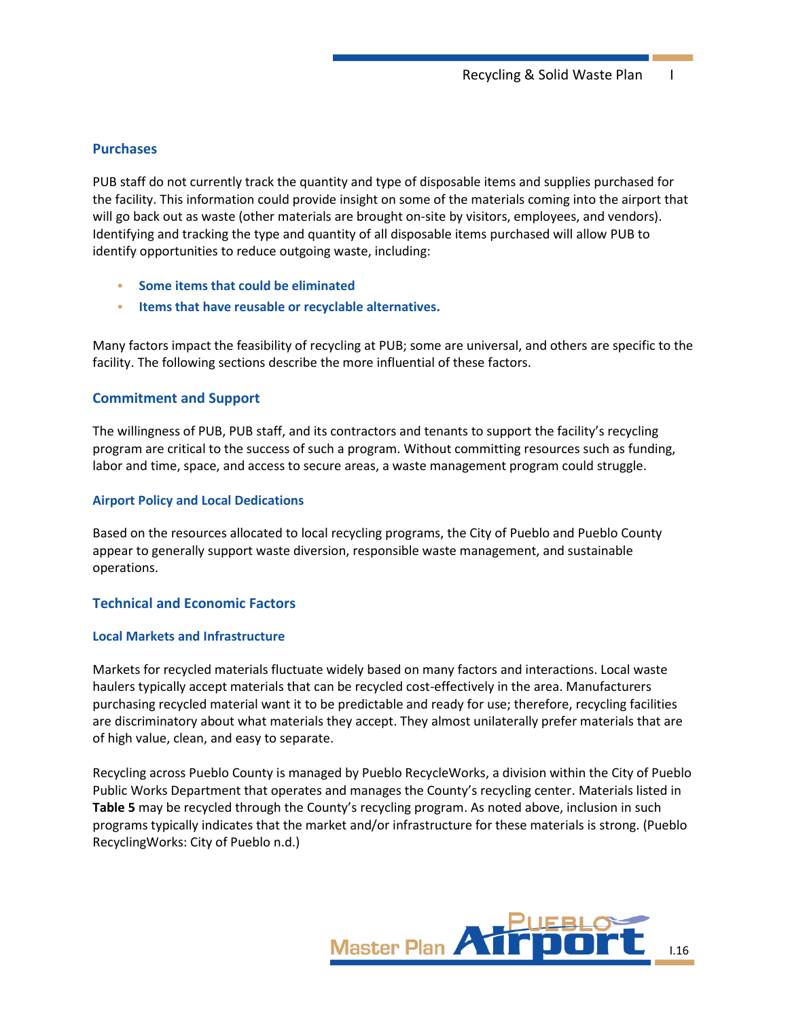### **Purchases**

PUB staff do not currently track the quantity and type of disposable items and supplies purchased for the facility. This information could provide insight on some of the materials coming into the airport that will go back out as waste (other materials are brought on-site by visitors, employees, and vendors). Identifying and tracking the type and quantity of all disposable items purchased will allow PUB to identify opportunities to reduce outgoing waste, including:

- **Some items that could be eliminated**
- **Items that have reusable or recyclable alternatives.**

Many factors impact the feasibility of recycling at PUB; some are universal, and others are specific to the facility. The following sections describe the more influential of these factors.

#### **Commitment and Support**

The willingness of PUB, PUB staff, and its contractors and tenants to support the facility's recycling program are critical to the success of such a program. Without committing resources such as funding, labor and time, space, and access to secure areas, a waste management program could struggle.

#### **Airport Policy and Local Dedications**

Based on the resources allocated to local recycling programs, the City of Pueblo and Pueblo County appear to generally support waste diversion, responsible waste management, and sustainable operations.

#### <span id="page-15-0"></span>**Technical and Economic Factors**

#### **Local Markets and Infrastructure**

Markets for recycled materials fluctuate widely based on many factors and interactions. Local waste haulers typically accept materials that can be recycled cost-effectively in the area. Manufacturers purchasing recycled material want it to be predictable and ready for use; therefore, recycling facilities are discriminatory about what materials they accept. They almost unilaterally prefer materials that are of high value, clean, and easy to separate.

Recycling across Pueblo County is managed by Pueblo RecycleWorks, a division within the City of Pueblo Public Works Department that operates and manages the County's recycling center. Materials listed in **[Table 5](#page-16-0)** may be recycled through the County's recycling program. As noted above, inclusion in such programs typically indicates that the market and/or infrastructure for these materials is strong. (Pueblo RecyclingWorks: City of Pueblo n.d.)

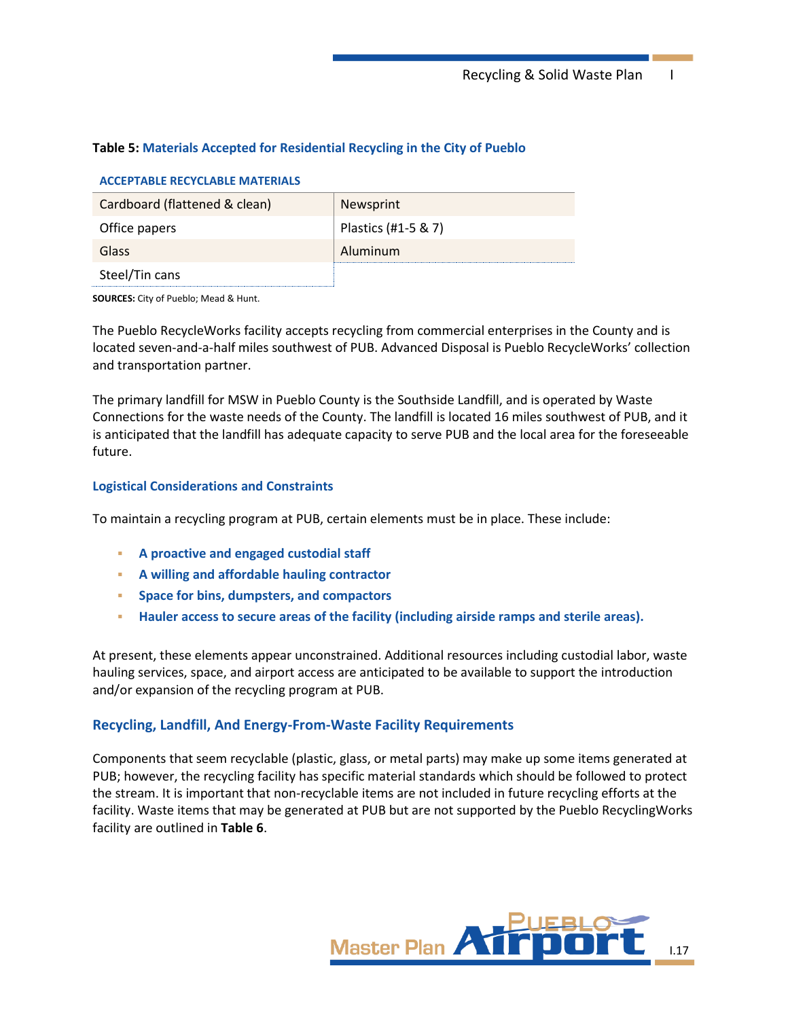Recycling & Solid Waste Plan I

## <span id="page-16-0"></span>**Table 5: Materials Accepted for Residential Recycling in the City of Pueblo**

#### **ACCEPTABLE RECYCLABLE MATERIALS**

| Cardboard (flattened & clean) | Newsprint           |
|-------------------------------|---------------------|
| Office papers                 | Plastics (#1-5 & 7) |
| Glass                         | Aluminum            |
| Steel/Tin cans                |                     |

**SOURCES:** City of Pueblo; Mead & Hunt.

The Pueblo RecycleWorks facility accepts recycling from commercial enterprises in the County and is located seven-and-a-half miles southwest of PUB. Advanced Disposal is Pueblo RecycleWorks' collection and transportation partner.

The primary landfill for MSW in Pueblo County is the Southside Landfill, and is operated by Waste Connections for the waste needs of the County. The landfill is located 16 miles southwest of PUB, and it is anticipated that the landfill has adequate capacity to serve PUB and the local area for the foreseeable future.

#### **Logistical Considerations and Constraints**

To maintain a recycling program at PUB, certain elements must be in place. These include:

- **A proactive and engaged custodial staff**
- **A willing and affordable hauling contractor**
- **Space for bins, dumpsters, and compactors**
- **Hauler access to secure areas of the facility (including airside ramps and sterile areas).**

At present, these elements appear unconstrained. Additional resources including custodial labor, waste hauling services, space, and airport access are anticipated to be available to support the introduction and/or expansion of the recycling program at PUB.

## **Recycling, Landfill, And Energy-From-Waste Facility Requirements**

Components that seem recyclable (plastic, glass, or metal parts) may make up some items generated at PUB; however, the recycling facility has specific material standards which should be followed to protect the stream. It is important that non-recyclable items are not included in future recycling efforts at the facility. Waste items that may be generated at PUB but are not supported by the Pueblo RecyclingWorks facility are outlined in **[Table](#page-17-0) 6**.

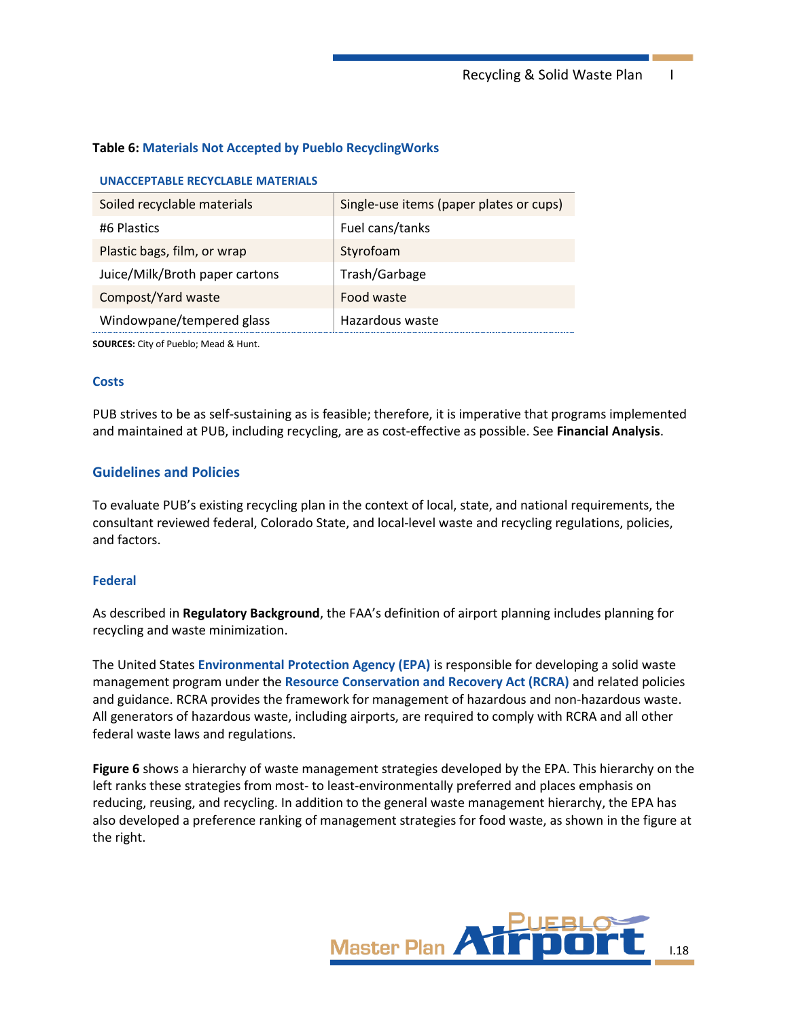Recycling & Solid Waste Plan I

## <span id="page-17-0"></span>**Table 6: Materials Not Accepted by Pueblo RecyclingWorks**

#### **UNACCEPTABLE RECYCLABLE MATERIALS**

| Soiled recyclable materials    | Single-use items (paper plates or cups) |
|--------------------------------|-----------------------------------------|
| #6 Plastics                    | Fuel cans/tanks                         |
| Plastic bags, film, or wrap    | Styrofoam                               |
| Juice/Milk/Broth paper cartons | Trash/Garbage                           |
| Compost/Yard waste             | Food waste                              |
| Windowpane/tempered glass      | Hazardous waste                         |

**SOURCES:** City of Pueblo; Mead & Hunt.

#### **Costs**

PUB strives to be as self-sustaining as is feasible; therefore, it is imperative that programs implemented and maintained at PUB, including recycling, are as cost-effective as possible. See **Financial Analysis**.

### **Guidelines and Policies**

To evaluate PUB's existing recycling plan in the context of local, state, and national requirements, the consultant reviewed federal, Colorado State, and local-level waste and recycling regulations, policies, and factors.

#### **Federal**

As described in **[Regulatory Background](#page-7-1)**, the FAA's definition of airport planning includes planning for recycling and waste minimization.

The United States **Environmental Protection Agency (EPA)** is responsible for developing a solid waste management program under the **Resource Conservation and Recovery Act (RCRA)** and related policies and guidance. RCRA provides the framework for management of hazardous and non-hazardous waste. All generators of hazardous waste, including airports, are required to comply with RCRA and all other federal waste laws and regulations.

**[Figure 6](#page-18-0)** shows a hierarchy of waste management strategies developed by the EPA. This hierarchy on the left ranks these strategies from most- to least-environmentally preferred and places emphasis on reducing, reusing, and recycling. In addition to the general waste management hierarchy, the EPA has also developed a preference ranking of management strategies for food waste, as shown in the figure at the right.

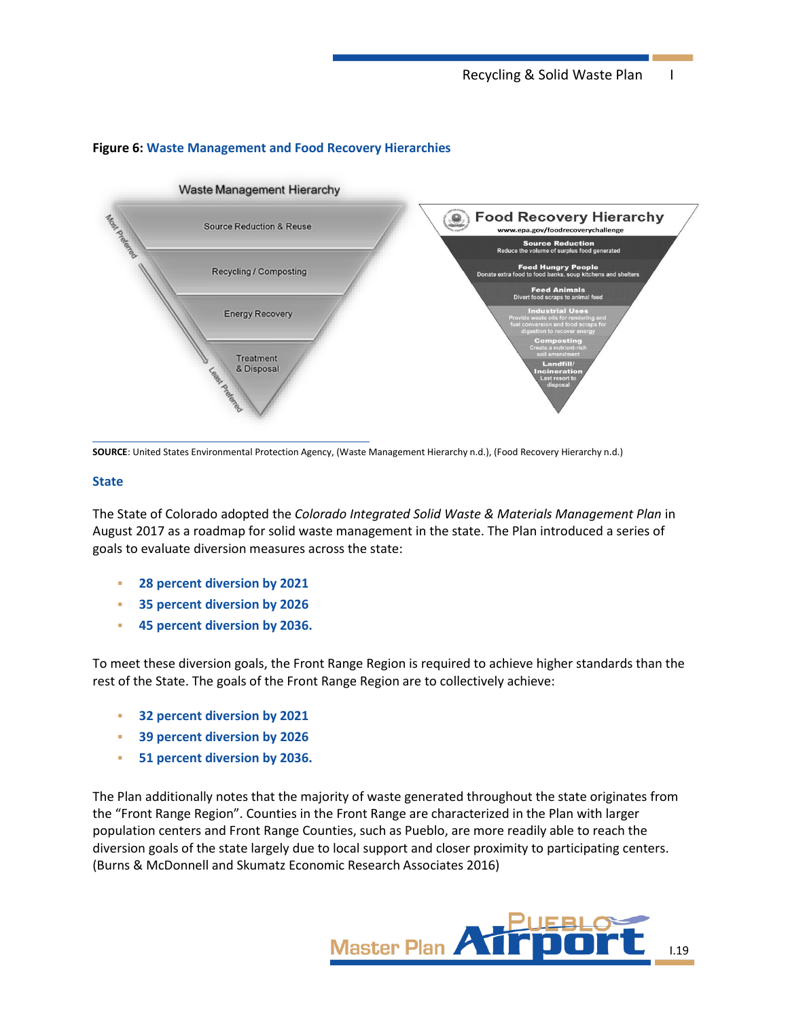

## <span id="page-18-0"></span>**Figure 6: Waste Management and Food Recovery Hierarchies**

**SOURCE**: United States Environmental Protection Agency, (Waste Management Hierarchy n.d.), (Food Recovery Hierarchy n.d.)

#### **State**

The State of Colorado adopted the *Colorado Integrated Solid Waste & Materials Management Plan* in August 2017 as a roadmap for solid waste management in the state. The Plan introduced a series of goals to evaluate diversion measures across the state:

- **28 percent diversion by 2021**
- **35 percent diversion by 2026**
- **45 percent diversion by 2036.**

To meet these diversion goals, the Front Range Region is required to achieve higher standards than the rest of the State. The goals of the Front Range Region are to collectively achieve:

- **32 percent diversion by 2021**
- **39 percent diversion by 2026**
- **51 percent diversion by 2036.**

The Plan additionally notes that the majority of waste generated throughout the state originates from the "Front Range Region". Counties in the Front Range are characterized in the Plan with larger population centers and Front Range Counties, such as Pueblo, are more readily able to reach the diversion goals of the state largely due to local support and closer proximity to participating centers. (Burns & McDonnell and Skumatz Economic Research Associates 2016)

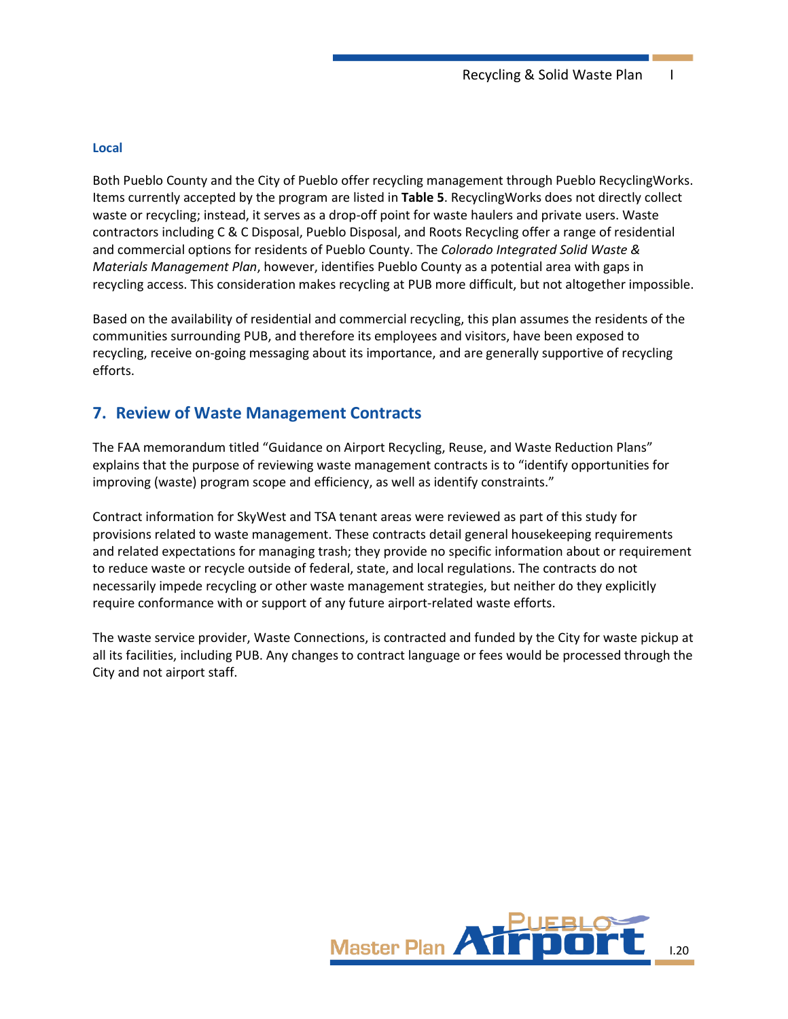#### **Local**

Both Pueblo County and the City of Pueblo offer recycling management through Pueblo RecyclingWorks. Items currently accepted by the program are listed in **[Table 5](#page-16-0)**. RecyclingWorks does not directly collect waste or recycling; instead, it serves as a drop-off point for waste haulers and private users. Waste contractors including C & C Disposal, Pueblo Disposal, and Roots Recycling offer a range of residential and commercial options for residents of Pueblo County. The *Colorado Integrated Solid Waste & Materials Management Plan*, however, identifies Pueblo County as a potential area with gaps in recycling access. This consideration makes recycling at PUB more difficult, but not altogether impossible.

Based on the availability of residential and commercial recycling, this plan assumes the residents of the communities surrounding PUB, and therefore its employees and visitors, have been exposed to recycling, receive on-going messaging about its importance, and are generally supportive of recycling efforts.

## **7. Review of Waste Management Contracts**

The FAA memorandum titled "Guidance on Airport Recycling, Reuse, and Waste Reduction Plans" explains that the purpose of reviewing waste management contracts is to "identify opportunities for improving (waste) program scope and efficiency, as well as identify constraints."

Contract information for SkyWest and TSA tenant areas were reviewed as part of this study for provisions related to waste management. These contracts detail general housekeeping requirements and related expectations for managing trash; they provide no specific information about or requirement to reduce waste or recycle outside of federal, state, and local regulations. The contracts do not necessarily impede recycling or other waste management strategies, but neither do they explicitly require conformance with or support of any future airport-related waste efforts.

The waste service provider, Waste Connections, is contracted and funded by the City for waste pickup at all its facilities, including PUB. Any changes to contract language or fees would be processed through the City and not airport staff.

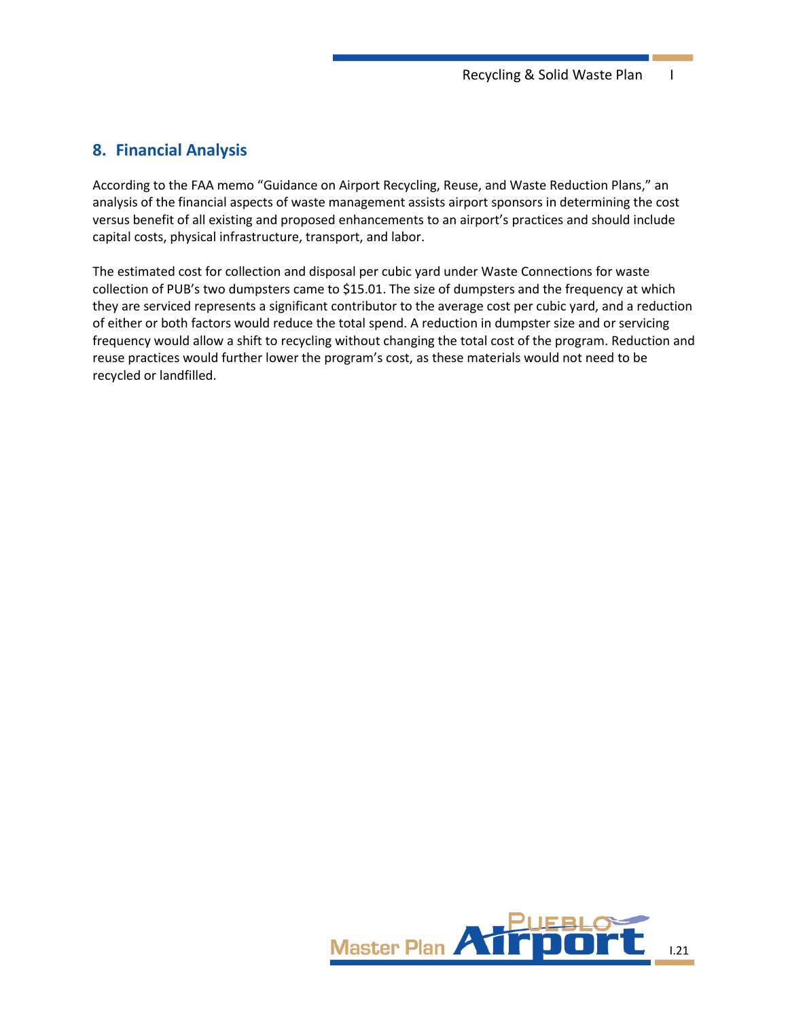## **8. Financial Analysis**

According to the FAA memo "Guidance on Airport Recycling, Reuse, and Waste Reduction Plans," an analysis of the financial aspects of waste management assists airport sponsors in determining the cost versus benefit of all existing and proposed enhancements to an airport's practices and should include capital costs, physical infrastructure, transport, and labor.

The estimated cost for collection and disposal per cubic yard under Waste Connections for waste collection of PUB's two dumpsters came to \$15.01. The size of dumpsters and the frequency at which they are serviced represents a significant contributor to the average cost per cubic yard, and a reduction of either or both factors would reduce the total spend. A reduction in dumpster size and or servicing frequency would allow a shift to recycling without changing the total cost of the program. Reduction and reuse practices would further lower the program's cost, as these materials would not need to be recycled or landfilled.

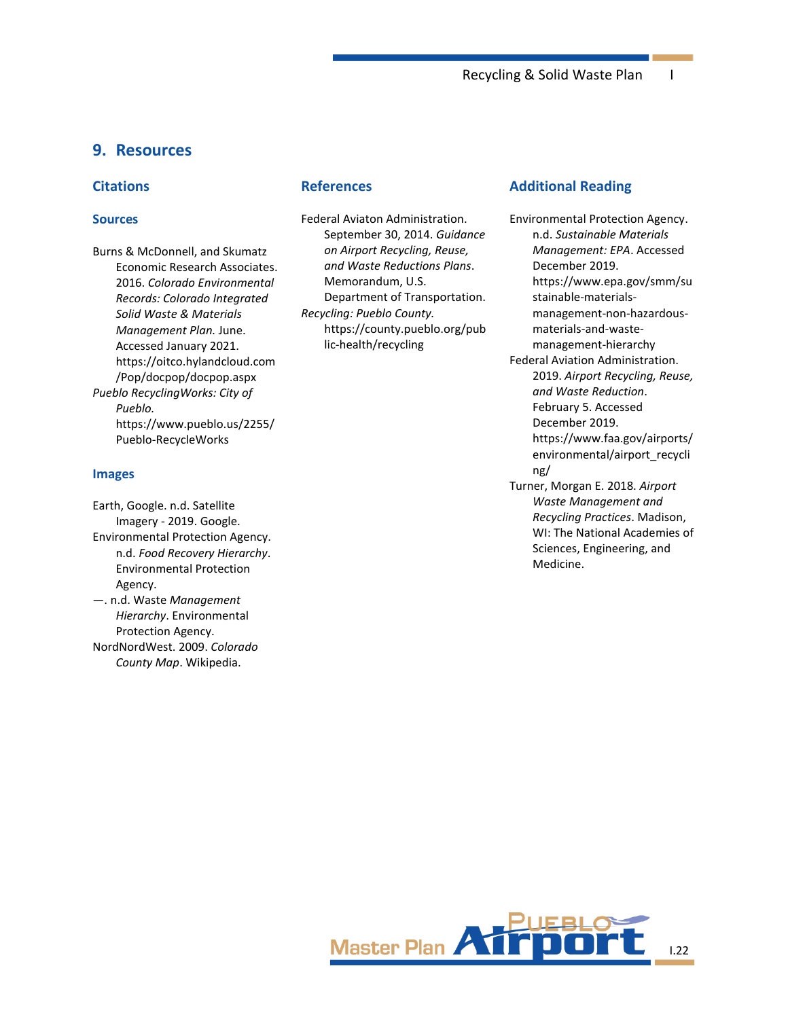## **9. Resources**

#### **Citations**

#### **Sources**

Burns & McDonnell, and Skumatz Economic Research Associates. 2016. *Colorado Environmental Records: Colorado Integrated Solid Waste & Materials Management Plan.* June. Accessed January 2021. https://oitco.hylandcloud.com /Pop/docpop/docpop.aspx *Pueblo RecyclingWorks: City of Pueblo.* https://www.pueblo.us/2255/ Pueblo-RecycleWorks

#### **Images**

Earth, Google. n.d. Satellite Imagery - 2019. Google. Environmental Protection Agency. n.d. *Food Recovery Hierarchy*. Environmental Protection Agency. —. n.d. Waste *Management Hierarchy*. Environmental

Protection Agency. NordNordWest. 2009. *Colorado County Map*. Wikipedia.

#### **References**

Federal Aviaton Administration. September 30, 2014. *Guidance on Airport Recycling, Reuse, and Waste Reductions Plans*. Memorandum, U.S. Department of Transportation. *Recycling: Pueblo County.* https://county.pueblo.org/pub lic-health/recycling

#### **Additional Reading**

Environmental Protection Agency. n.d. *Sustainable Materials Management: EPA*. Accessed December 2019. https://www.epa.gov/smm/su stainable-materialsmanagement-non-hazardousmaterials-and-wastemanagement-hierarchy Federal Aviation Administration. 2019. *Airport Recycling, Reuse, and Waste Reduction*. February 5. Accessed December 2019. https://www.faa.gov/airports/ environmental/airport\_recycli ng/ Turner, Morgan E. 2018. *Airport Waste Management and Recycling Practices*. Madison, WI: The National Academies of Sciences, Engineering, and Medicine.